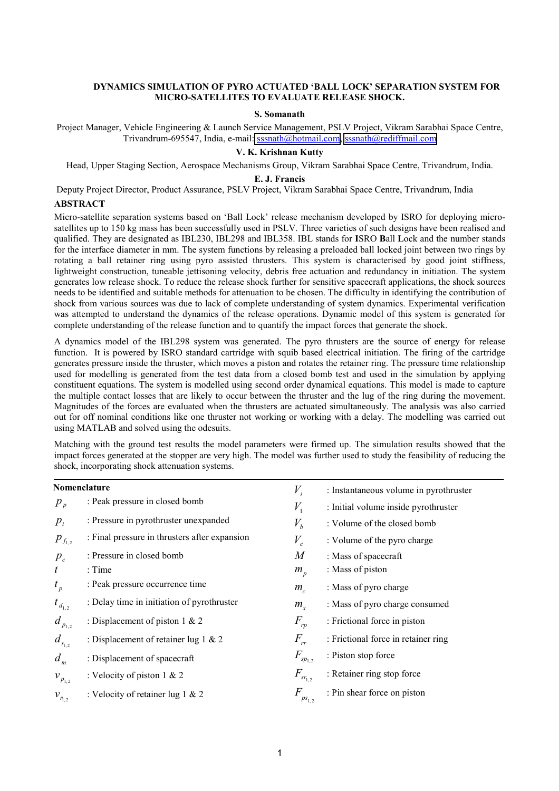# **DYNAMICS SIMULATION OF PYRO ACTUATED 'BALL LOCK' SEPARATION SYSTEM FOR MICRO-SATELLITES TO EVALUATE RELEASE SHOCK.**

### **S. Somanath**

Project Manager, Vehicle Engineering & Launch Service Management, PSLV Project, Vikram Sarabhai Space Centre, Trivandrum-695547, India, e-mail: [sssnath@hotmail.com,](mailto:sssnath@hotmail.com) [sssnath@rediffmail.com](mailto:sssnath@rediffmail.com)

# **V. K. Krishnan Kutty**

Head, Upper Staging Section, Aerospace Mechanisms Group, Vikram Sarabhai Space Centre, Trivandrum, India.

#### **E. J. Francis**

Deputy Project Director, Product Assurance, PSLV Project, Vikram Sarabhai Space Centre, Trivandrum, India

### **ABSTRACT**

Micro-satellite separation systems based on 'Ball Lock' release mechanism developed by ISRO for deploying microsatellites up to 150 kg mass has been successfully used in PSLV. Three varieties of such designs have been realised and qualified. They are designated as IBL230, IBL298 and IBL358. IBL stands for **I**SRO **B**all **L**ock and the number stands for the interface diameter in mm. The system functions by releasing a preloaded ball locked joint between two rings by rotating a ball retainer ring using pyro assisted thrusters. This system is characterised by good joint stiffness, lightweight construction, tuneable jettisoning velocity, debris free actuation and redundancy in initiation. The system generates low release shock. To reduce the release shock further for sensitive spacecraft applications, the shock sources needs to be identified and suitable methods for attenuation to be chosen. The difficulty in identifying the contribution of shock from various sources was due to lack of complete understanding of system dynamics. Experimental verification was attempted to understand the dynamics of the release operations. Dynamic model of this system is generated for complete understanding of the release function and to quantify the impact forces that generate the shock.

A dynamics model of the IBL298 system was generated. The pyro thrusters are the source of energy for release function. It is powered by ISRO standard cartridge with squib based electrical initiation. The firing of the cartridge generates pressure inside the thruster, which moves a piston and rotates the retainer ring. The pressure time relationship used for modelling is generated from the test data from a closed bomb test and used in the simulation by applying constituent equations. The system is modelled using second order dynamical equations. This model is made to capture the multiple contact losses that are likely to occur between the thruster and the lug of the ring during the movement. Magnitudes of the forces are evaluated when the thrusters are actuated simultaneously. The analysis was also carried out for off nominal conditions like one thruster not working or working with a delay. The modelling was carried out using MATLAB and solved using the odesuits.

Matching with the ground test results the model parameters were firmed up. The simulation results showed that the impact forces generated at the stopper are very high. The model was further used to study the feasibility of reducing the shock, incorporating shock attenuation systems.

| Nomenclature     |                                               | $V_i$            | : Instantaneous volume in pyrothruster |
|------------------|-----------------------------------------------|------------------|----------------------------------------|
| $p_{p}$          | : Peak pressure in closed bomb                | $V_{1}$          | : Initial volume inside pyrothruster   |
| $p_{t}$          | : Pressure in pyrothruster unexpanded         | $V_{b}$          | : Volume of the closed bomb            |
| $p_{f_{1,2}}$    | : Final pressure in thrusters after expansion | $V_c$            | : Volume of the pyro charge            |
| $p_c$            | : Pressure in closed bomb                     | $\boldsymbol{M}$ | : Mass of spacecraft                   |
| $\boldsymbol{t}$ | : Time                                        | $m_p$            | : Mass of piston                       |
| $t_{p}$          | : Peak pressure occurrence time               | $m_c$            | : Mass of pyro charge                  |
| $t_{d_{1,2}}$    | : Delay time in initiation of pyrothruster    | $m_{\rm r}$      | : Mass of pyro charge consumed         |
| $d_{p_{1,2}}$    | : Displacement of piston $1 \& 2$             | $F_{rp}$         | : Frictional force in piston           |
| $d_{r_{1,2}}$    | : Displacement of retainer lug $1 & 2$        | $F_{rr}$         | : Frictional force in retainer ring    |
| $d_m$            | : Displacement of spacecraft                  | $F_{sp_{1,2}}$   | : Piston stop force                    |
| $v_{p_{1,2}}$    | : Velocity of piston $1 \& 2$                 | $F_{sr_{1,2}}$   | : Retainer ring stop force             |
| $v_{r_{1,2}}$    | : Velocity of retainer lug $1 \& 2$           | F<br>$ps_{1,2}$  | : Pin shear force on piston            |
|                  |                                               |                  |                                        |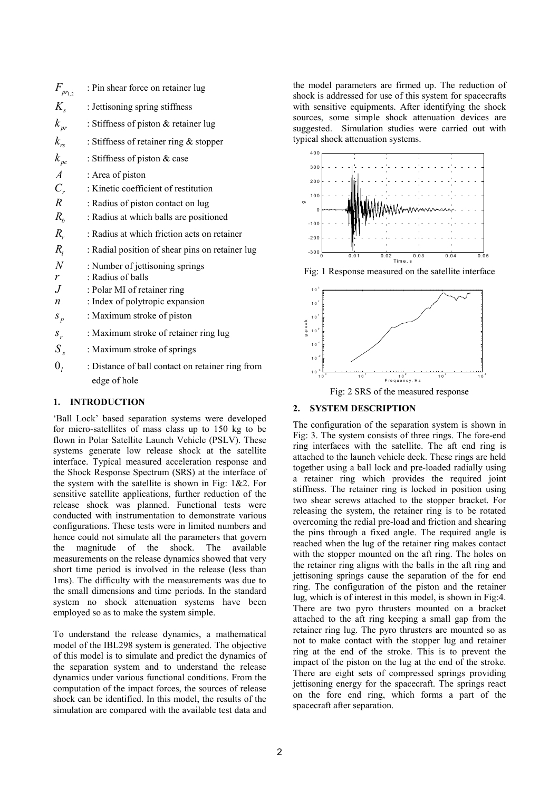| $F_{\mathit{pr}_{1,2}}$      | : Pin shear force on retainer lug                                |
|------------------------------|------------------------------------------------------------------|
| $K_{\rm c}$                  | : Jettisoning spring stiffness                                   |
| $k_{pr}$                     | : Stiffness of piston & retainer lug                             |
| $k_{\rm rs}$                 | : Stiffness of retainer ring $&$ stopper                         |
| $k_{\scriptscriptstyle{pc}}$ | : Stiffness of piston & case                                     |
| $\overline{A}$               | : Area of piston                                                 |
| $C_{r}$                      | : Kinetic coefficient of restitution                             |
| $\overline{R}$               | : Radius of piston contact on lug                                |
| $R_{h}$                      | : Radius at which balls are positioned                           |
| $R_{r}$                      | : Radius at which friction acts on retainer                      |
| $R_{I}$                      | : Radial position of shear pins on retainer lug                  |
| $\boldsymbol{N}$             | : Number of jettisoning springs                                  |
| r                            | : Radius of balls                                                |
| .J                           | : Polar MI of retainer ring                                      |
| $\boldsymbol{n}$             | : Index of polytropic expansion                                  |
| $S_p$                        | : Maximum stroke of piston                                       |
| $S_r$                        | : Maximum stroke of retainer ring lug                            |
| $S_{\rm c}$                  | : Maximum stroke of springs                                      |
| $\mathbf{0}_{i}$             | : Distance of ball contact on retainer ring from<br>edge of hole |

# **1. INTRODUCTION**

'Ball Lock' based separation systems were developed for micro-satellites of mass class up to 150 kg to be flown in Polar Satellite Launch Vehicle (PSLV). These systems generate low release shock at the satellite interface. Typical measured acceleration response and the Shock Response Spectrum (SRS) at the interface of the system with the satellite is shown in Fig: 1&2. For sensitive satellite applications, further reduction of the release shock was planned. Functional tests were conducted with instrumentation to demonstrate various configurations. These tests were in limited numbers and hence could not simulate all the parameters that govern the magnitude of the shock. The available measurements on the release dynamics showed that very short time period is involved in the release (less than 1ms). The difficulty with the measurements was due to the small dimensions and time periods. In the standard system no shock attenuation systems have been employed so as to make the system simple.

To understand the release dynamics, a mathematical model of the IBL298 system is generated. The objective of this model is to simulate and predict the dynamics of the separation system and to understand the release dynamics under various functional conditions. From the computation of the impact forces, the sources of release shock can be identified. In this model, the results of the simulation are compared with the available test data and

the model parameters are firmed up. The reduction of shock is addressed for use of this system for spacecrafts with sensitive equipments. After identifying the shock sources, some simple shock attenuation devices are suggested. Simulation studies were carried out with typical shock attenuation systems.



Fig: 1 Response measured on the satellite interface



Fig: 2 SRS of the measured response

# **2. SYSTEM DESCRIPTION**

The configuration of the separation system is shown in Fig: 3. The system consists of three rings. The fore-end ring interfaces with the satellite. The aft end ring is attached to the launch vehicle deck. These rings are held together using a ball lock and pre-loaded radially using a retainer ring which provides the required joint stiffness. The retainer ring is locked in position using two shear screws attached to the stopper bracket. For releasing the system, the retainer ring is to be rotated overcoming the redial pre-load and friction and shearing the pins through a fixed angle. The required angle is reached when the lug of the retainer ring makes contact with the stopper mounted on the aft ring. The holes on the retainer ring aligns with the balls in the aft ring and jettisoning springs cause the separation of the for end ring. The configuration of the piston and the retainer lug, which is of interest in this model, is shown in Fig:4. There are two pyro thrusters mounted on a bracket attached to the aft ring keeping a small gap from the retainer ring lug. The pyro thrusters are mounted so as not to make contact with the stopper lug and retainer ring at the end of the stroke. This is to prevent the impact of the piston on the lug at the end of the stroke. There are eight sets of compressed springs providing jettisoning energy for the spacecraft. The springs react on the fore end ring, which forms a part of the spacecraft after separation.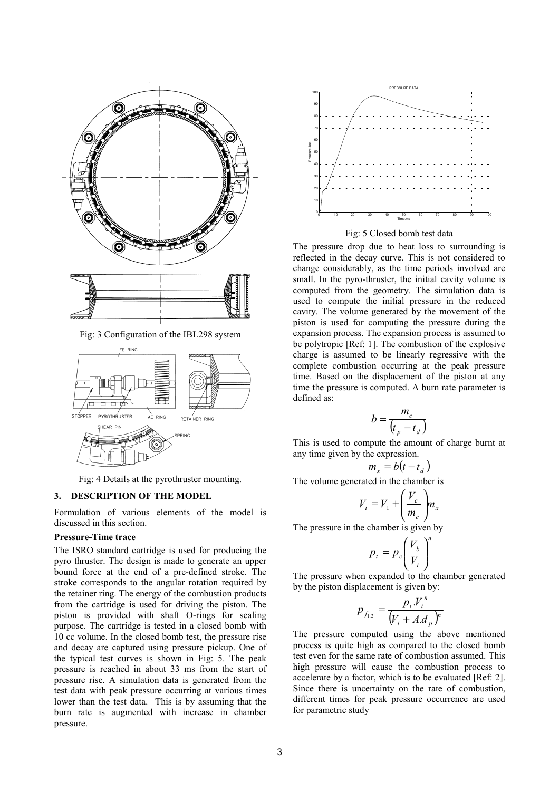

Fig: 3 Configuration of the IBL298 system



Fig: 4 Details at the pyrothruster mounting.

## **3. DESCRIPTION OF THE MODEL**

Formulation of various elements of the model is discussed in this section.

### **Pressure-Time trace**

The ISRO standard cartridge is used for producing the pyro thruster. The design is made to generate an upper bound force at the end of a pre-defined stroke. The stroke corresponds to the angular rotation required by the retainer ring. The energy of the combustion products from the cartridge is used for driving the piston. The piston is provided with shaft O-rings for sealing purpose. The cartridge is tested in a closed bomb with 10 cc volume. In the closed bomb test, the pressure rise and decay are captured using pressure pickup. One of the typical test curves is shown in Fig: 5. The peak pressure is reached in about 33 ms from the start of pressure rise. A simulation data is generated from the test data with peak pressure occurring at various times lower than the test data. This is by assuming that the burn rate is augmented with increase in chamber pressure.



Fig: 5 Closed bomb test data

The pressure drop due to heat loss to surrounding is reflected in the decay curve. This is not considered to change considerably, as the time periods involved are small. In the pyro-thruster, the initial cavity volume is computed from the geometry. The simulation data is used to compute the initial pressure in the reduced cavity. The volume generated by the movement of the piston is used for computing the pressure during the expansion process. The expansion process is assumed to be polytropic [Ref: 1]. The combustion of the explosive charge is assumed to be linearly regressive with the complete combustion occurring at the peak pressure time. Based on the displacement of the piston at any time the pressure is computed. A burn rate parameter is defined as:

$$
b = \frac{m_c}{\left(t_p - t_d\right)}
$$

This is used to compute the amount of charge burnt at any time given by the expression.

$$
m_x = b(t - t_d)
$$

The volume generated in the chamber is

$$
V_i = V_1 + \left(\frac{V_c}{m_c}\right) m_x
$$

The pressure in the chamber is given by

$$
p_t = p_c \left(\frac{V_b}{V_i}\right)^n
$$

The pressure when expanded to the chamber generated by the piston displacement is given by:

$$
p_{f_{1,2}} = \frac{p_{t}V_{i}^{n}}{(V_{i} + A.d_{p})^{n}}
$$

The pressure computed using the above mentioned process is quite high as compared to the closed bomb test even for the same rate of combustion assumed. This high pressure will cause the combustion process to accelerate by a factor, which is to be evaluated [Ref: 2]. Since there is uncertainty on the rate of combustion, different times for peak pressure occurrence are used for parametric study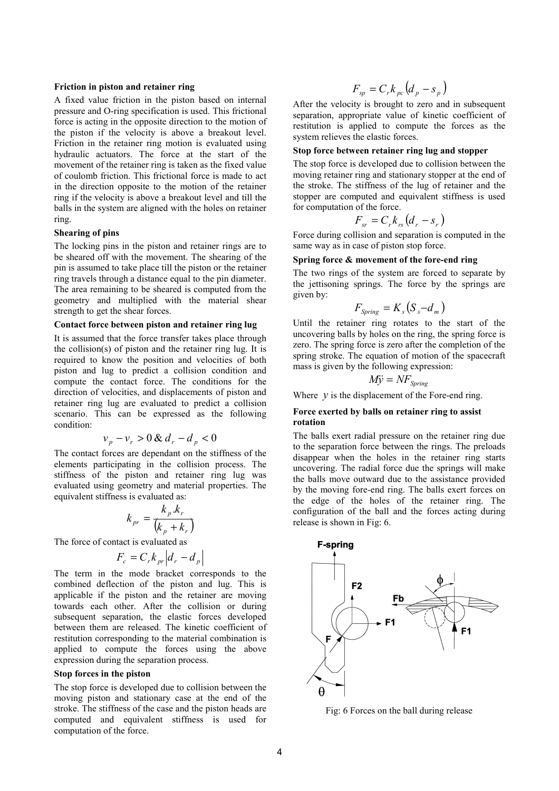## **Friction in piston and retainer ring**

A fixed value friction in the piston based on internal pressure and O-ring specification is used. This frictional force is acting in the opposite direction to the motion of the piston if the velocity is above a breakout level. Friction in the retainer ring motion is evaluated using hydraulic actuators. The force at the start of the movement of the retainer ring is taken as the fixed value of coulomb friction. This frictional force is made to act in the direction opposite to the motion of the retainer ring if the velocity is above a breakout level and till the balls in the system are aligned with the holes on retainer ring.

## **Shearing of pins**

The locking pins in the piston and retainer rings are to be sheared off with the movement. The shearing of the pin is assumed to take place till the piston or the retainer ring travels through a distance equal to the pin diameter. The area remaining to be sheared is computed from the geometry and multiplied with the material shear strength to get the shear forces.

### **Contact force between piston and retainer ring lug**

It is assumed that the force transfer takes place through the collision(s) of piston and the retainer ring lug. It is required to know the position and velocities of both piston and lug to predict a collision condition and compute the contact force. The conditions for the direction of velocities, and displacements of piston and retainer ring lug are evaluated to predict a collision scenario. This can be expressed as the following condition:

$$
v_p - v_r > 0 \& d_r - d_p < 0
$$

The contact forces are dependant on the stiffness of the elements participating in the collision process. The stiffness of the piston and retainer ring lug was evaluated using geometry and material properties. The equivalent stiffness is evaluated as:

$$
k_{pr} = \frac{k_p.k_r}{\left(k_p + k_r\right)}
$$

The force of contact is evaluated as

$$
F_c = C_r k_{pr} \left| d_r - d_p \right|
$$

The term in the mode bracket corresponds to the combined deflection of the piston and lug. This is applicable if the piston and the retainer are moving towards each other. After the collision or during subsequent separation, the elastic forces developed between them are released. The kinetic coefficient of restitution corresponding to the material combination is applied to compute the forces using the above expression during the separation process.

## **Stop forces in the piston**

The stop force is developed due to collision between the moving piston and stationary case at the end of the stroke. The stiffness of the case and the piston heads are computed and equivalent stiffness is used for computation of the force.

$$
F_{sp} = C_r k_{pc} (d_p - s_p)
$$

After the velocity is brought to zero and in subsequent separation, appropriate value of kinetic coefficient of restitution is applied to compute the forces as the system relieves the elastic forces.

### **Stop force between retainer ring lug and stopper**

The stop force is developed due to collision between the moving retainer ring and stationary stopper at the end of the stroke. The stiffness of the lug of retainer and the stopper are computed and equivalent stiffness is used for computation of the force.

$$
F_{sr} = C_r k_{rs} (d_r - s_r)
$$

Force during collision and separation is computed in the same way as in case of piston stop force.

## **Spring force & movement of the fore-end ring**

The two rings of the system are forced to separate by the jettisoning springs. The force by the springs are given by:

$$
F_{Spring} = K_s (S_s - d_m)
$$

Until the retainer ring rotates to the start of the uncovering balls by holes on the ring, the spring force is zero. The spring force is zero after the completion of the spring stroke. The equation of motion of the spacecraft mass is given by the following expression:

$$
M\ddot{y} = N F_{Spring}
$$

Where  $y$  is the displacement of the Fore-end ring.

#### **Force exerted by balls on retainer ring to assist rotation**

The balls exert radial pressure on the retainer ring due to the separation force between the rings. The preloads disappear when the holes in the retainer ring starts uncovering. The radial force due the springs will make the balls move outward due to the assistance provided by the moving fore-end ring. The balls exert forces on the edge of the holes of the retainer ring. The configuration of the ball and the forces acting during release is shown in Fig: 6.



Fig: 6 Forces on the ball during release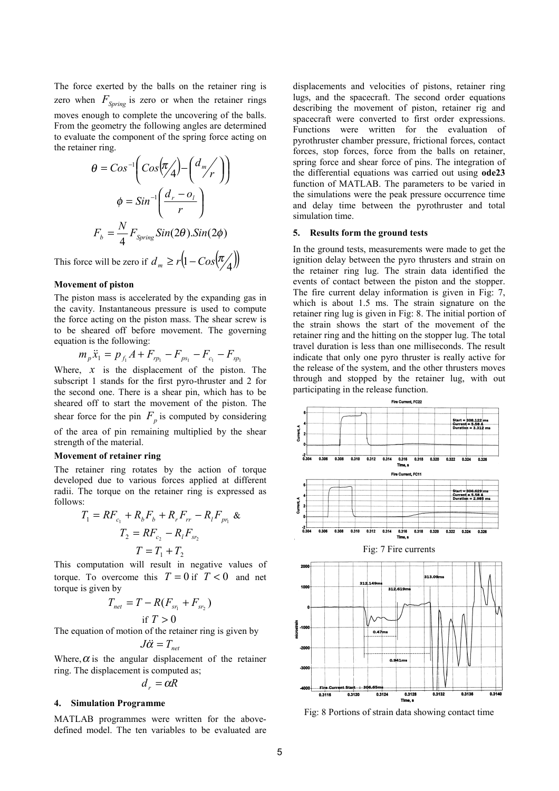The force exerted by the balls on the retainer ring is zero when  $F_{Spring}$  is zero or when the retainer rings moves enough to complete the uncovering of the balls. From the geometry the following angles are determined to evaluate the component of the spring force acting on the retainer ring.

$$
\theta = Cos^{-1} \left( Cos(\pi/4) - \left(\frac{d_m}{r}\right) \right)
$$

$$
\phi = Sin^{-1} \left( \frac{d_r - o_l}{r} \right)
$$

$$
F_b = \frac{N}{4} F_{Spring} Sin(2\theta). Sin(2\phi)
$$

This force will be zero if  $d_m \ge r \left( 1 - \cos \left( \frac{\pi}{4} \right) \right)$ 

#### **Movement of piston**

The piston mass is accelerated by the expanding gas in the cavity. Instantaneous pressure is used to compute the force acting on the piston mass. The shear screw is to be sheared off before movement. The governing equation is the following:

$$
m_p \ddot{x}_1 = p_{f_1} A + F_{rp_1} - F_{ps_1} - F_{c_1} - F_{sp_1}
$$

Where,  $x$  is the displacement of the piston. The subscript 1 stands for the first pyro-thruster and 2 for the second one. There is a shear pin, which has to be sheared off to start the movement of the piston. The shear force for the pin  $F_p$  is computed by considering of the area of pin remaining multiplied by the shear strength of the material.

#### **Movement of retainer ring**

The retainer ring rotates by the action of torque developed due to various forces applied at different radii. The torque on the retainer ring is expressed as follows:

$$
T_1 = RF_{c_1} + R_b F_b + R_r F_{rr} - R_l F_{pr_1} \&
$$
  

$$
T_2 = RF_{c_2} - R_l F_{sr_2}
$$
  

$$
T = T_1 + T_2
$$

This computation will result in negative values of torque. To overcome this  $T = 0$  if  $T < 0$  and net torque is given by

$$
T_{net} = T - R(F_{sr_1} + F_{sr_2})
$$
  
if  $T > 0$ 

The equation of motion of the retainer ring is given by

$$
J\ddot{\alpha} = T_{net}
$$

Where,  $\alpha$  is the angular displacement of the retainer ring. The displacement is computed as;

$$
d_{r} = \alpha R
$$

#### **4. Simulation Programme**

MATLAB programmes were written for the abovedefined model. The ten variables to be evaluated are displacements and velocities of pistons, retainer ring lugs, and the spacecraft. The second order equations describing the movement of piston, retainer rig and spacecraft were converted to first order expressions. Functions were written for the evaluation of pyrothruster chamber pressure, frictional forces, contact forces, stop forces, force from the balls on retainer, spring force and shear force of pins. The integration of the differential equations was carried out using **ode23** function of MATLAB. The parameters to be varied in the simulations were the peak pressure occurrence time and delay time between the pyrothruster and total simulation time.

## **5. Results form the ground tests**

In the ground tests, measurements were made to get the ignition delay between the pyro thrusters and strain on the retainer ring lug. The strain data identified the events of contact between the piston and the stopper. The fire current delay information is given in Fig: 7, which is about 1.5 ms. The strain signature on the retainer ring lug is given in Fig: 8. The initial portion of the strain shows the start of the movement of the retainer ring and the hitting on the stopper lug. The total travel duration is less than one milliseconds. The result indicate that only one pyro thruster is really active for the release of the system, and the other thrusters moves through and stopped by the retainer lug, with out participating in the release function.



Fig: 8 Portions of strain data showing contact time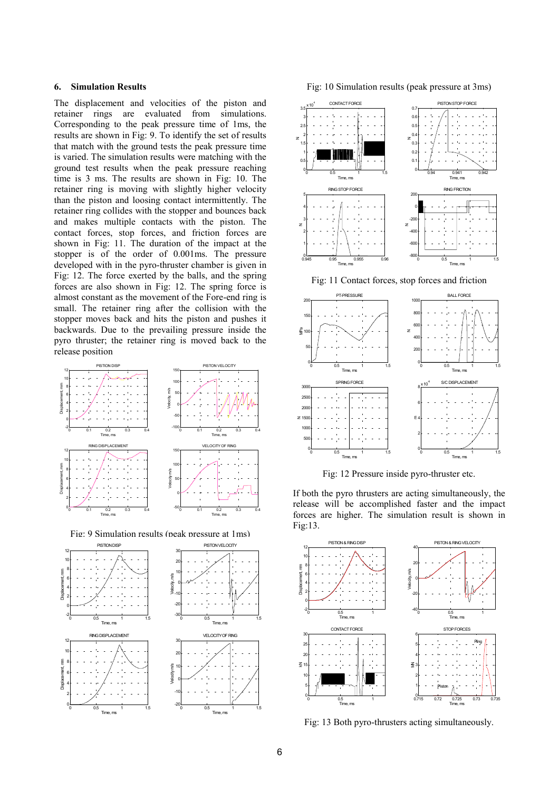## **6. Simulation Results**

The displacement and velocities of the piston and retainer rings are evaluated from simulations. Corresponding to the peak pressure time of 1ms, the results are shown in Fig: 9. To identify the set of results that match with the ground tests the peak pressure time is varied. The simulation results were matching with the ground test results when the peak pressure reaching time is 3 ms. The results are shown in Fig: 10. The retainer ring is moving with slightly higher velocity than the piston and loosing contact intermittently. The retainer ring collides with the stopper and bounces back and makes multiple contacts with the piston. The contact forces, stop forces, and friction forces are shown in Fig: 11. The duration of the impact at the stopper is of the order of 0.001ms. The pressure developed with in the pyro-thruster chamber is given in Fig: 12. The force exerted by the balls, and the spring forces are also shown in Fig: 12. The spring force is almost constant as the movement of the Fore-end ring is small. The retainer ring after the collision with the stopper moves back and hits the piston and pushes it backwards. Due to the prevailing pressure inside the pyro thruster; the retainer ring is moved back to the release position



Fig: 9 Simulation results (neak pressure at 1ms)



Fig: 10 Simulation results (peak pressure at 3ms)



Fig: 11 Contact forces, stop forces and friction



Fig: 12 Pressure inside pyro-thruster etc.

If both the pyro thrusters are acting simultaneously, the release will be accomplished faster and the impact forces are higher. The simulation result is shown in Fig:13.



Fig: 13 Both pyro-thrusters acting simultaneously.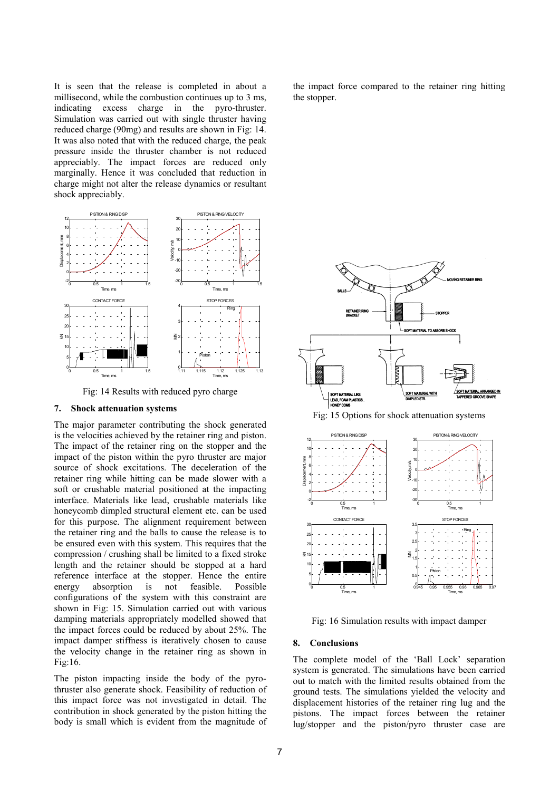It is seen that the release is completed in about a millisecond, while the combustion continues up to 3 ms, indicating excess charge in the pyro-thruster. Simulation was carried out with single thruster having reduced charge (90mg) and results are shown in Fig: 14. It was also noted that with the reduced charge, the peak pressure inside the thruster chamber is not reduced appreciably. The impact forces are reduced only marginally. Hence it was concluded that reduction in charge might not alter the release dynamics or resultant shock appreciably.



Fig: 14 Results with reduced pyro charge

#### **7. Shock attenuation systems**

The major parameter contributing the shock generated is the velocities achieved by the retainer ring and piston. The impact of the retainer ring on the stopper and the impact of the piston within the pyro thruster are major source of shock excitations. The deceleration of the retainer ring while hitting can be made slower with a soft or crushable material positioned at the impacting interface. Materials like lead, crushable materials like honeycomb dimpled structural element etc. can be used for this purpose. The alignment requirement between the retainer ring and the balls to cause the release is to be ensured even with this system. This requires that the compression / crushing shall be limited to a fixed stroke length and the retainer should be stopped at a hard reference interface at the stopper. Hence the entire energy absorption is not feasible. Possible configurations of the system with this constraint are shown in Fig: 15. Simulation carried out with various damping materials appropriately modelled showed that the impact forces could be reduced by about 25%. The impact damper stiffness is iteratively chosen to cause the velocity change in the retainer ring as shown in Fig:16.

The piston impacting inside the body of the pyrothruster also generate shock. Feasibility of reduction of this impact force was not investigated in detail. The contribution in shock generated by the piston hitting the body is small which is evident from the magnitude of the impact force compared to the retainer ring hitting the stopper.



Fig: 15 Options for shock attenuation systems



Fig: 16 Simulation results with impact damper

## **8. Conclusions**

The complete model of the 'Ball Lock' separation system is generated. The simulations have been carried out to match with the limited results obtained from the ground tests. The simulations yielded the velocity and displacement histories of the retainer ring lug and the pistons. The impact forces between the retainer lug/stopper and the piston/pyro thruster case are